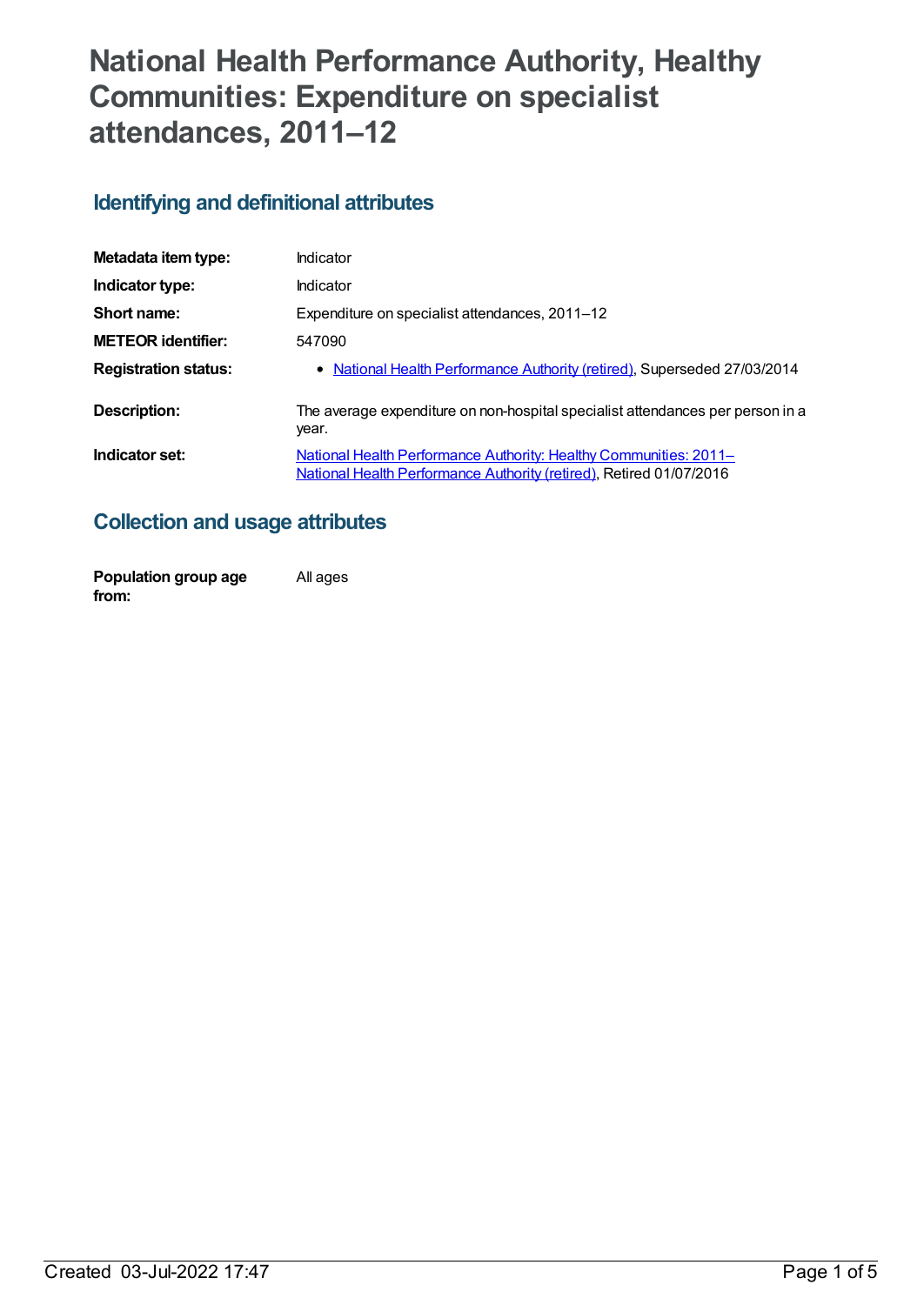# **National Health Performance Authority, Healthy Communities: Expenditure on specialist attendances, 2011–12**

## **Identifying and definitional attributes**

| Metadata item type:         | Indicator                                                                                                                                |
|-----------------------------|------------------------------------------------------------------------------------------------------------------------------------------|
| Indicator type:             | Indicator                                                                                                                                |
| Short name:                 | Expenditure on specialist attendances, 2011-12                                                                                           |
| <b>METEOR identifier:</b>   | 547090                                                                                                                                   |
| <b>Registration status:</b> | • National Health Performance Authority (retired), Superseded 27/03/2014                                                                 |
| Description:                | The average expenditure on non-hospital specialist attendances per person in a<br>year.                                                  |
| Indicator set:              | National Health Performance Authority: Healthy Communities: 2011-<br>National Health Performance Authority (retired), Retired 01/07/2016 |

# **Collection and usage attributes**

| Population group age | All ages |
|----------------------|----------|
| from:                |          |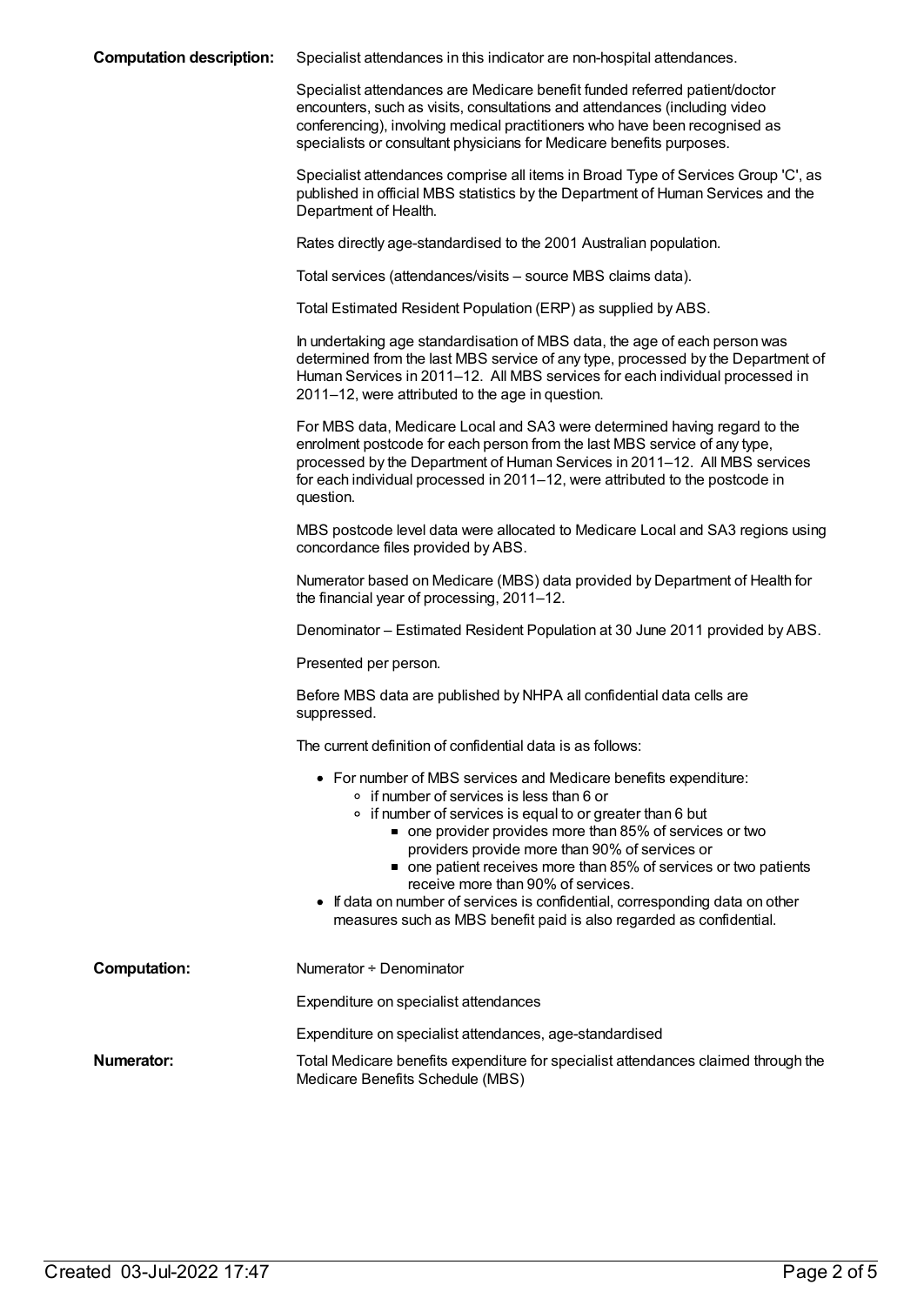| <b>Computation description:</b> | Specialist attendances in this indicator are non-hospital attendances. |
|---------------------------------|------------------------------------------------------------------------|
|---------------------------------|------------------------------------------------------------------------|

Specialist attendances are Medicare benefit funded referred patient/doctor encounters, such as visits, consultations and attendances (including video conferencing), involving medical practitioners who have been recognised as specialists or consultant physicians for Medicare benefits purposes.

Specialist attendances comprise all items in Broad Type of Services Group 'C', as published in official MBS statistics by the Department of Human Services and the Department of Health.

Rates directly age-standardised to the 2001 Australian population.

Total services (attendances/visits – source MBS claims data).

Total Estimated Resident Population (ERP) as supplied by ABS.

In undertaking age standardisation of MBS data, the age of each person was determined from the last MBS service of any type, processed by the Department of Human Services in 2011–12. All MBS services for each individual processed in 2011–12, were attributed to the age in question.

For MBS data, Medicare Local and SA3 were determined having regard to the enrolment postcode for each person from the last MBS service of any type, processed by the Department of Human Services in 2011–12. All MBS services for each individual processed in 2011–12, were attributed to the postcode in question.

MBS postcode level data were allocated to Medicare Local and SA3 regions using concordance files provided by ABS.

Numerator based on Medicare (MBS) data provided by Department of Health for the financial year of processing, 2011–12.

Denominator – Estimated Resident Population at 30 June 2011 provided by ABS.

Presented per person.

Before MBS data are published by NHPA all confidential data cells are suppressed.

The current definition of confidential data is as follows:

- For number of MBS services and Medicare benefits expenditure:
	- o if number of services is less than 6 or
	- $\circ$  if number of services is equal to or greater than 6 but
		- one provider provides more than 85% of services or two providers provide more than 90% of services or
		- one patient receives more than 85% of services or two patients receive more than 90% of services.
- If data on number of services is confidential, corresponding data on other measures such as MBS benefit paid is also regarded as confidential.

| Computation: | Numerator ÷ Denominator                                                                                                |
|--------------|------------------------------------------------------------------------------------------------------------------------|
|              | Expenditure on specialist attendances                                                                                  |
|              | Expenditure on specialist attendances, age-standardised                                                                |
| Numerator:   | Total Medicare benefits expenditure for specialist attendances claimed through the<br>Medicare Benefits Schedule (MBS) |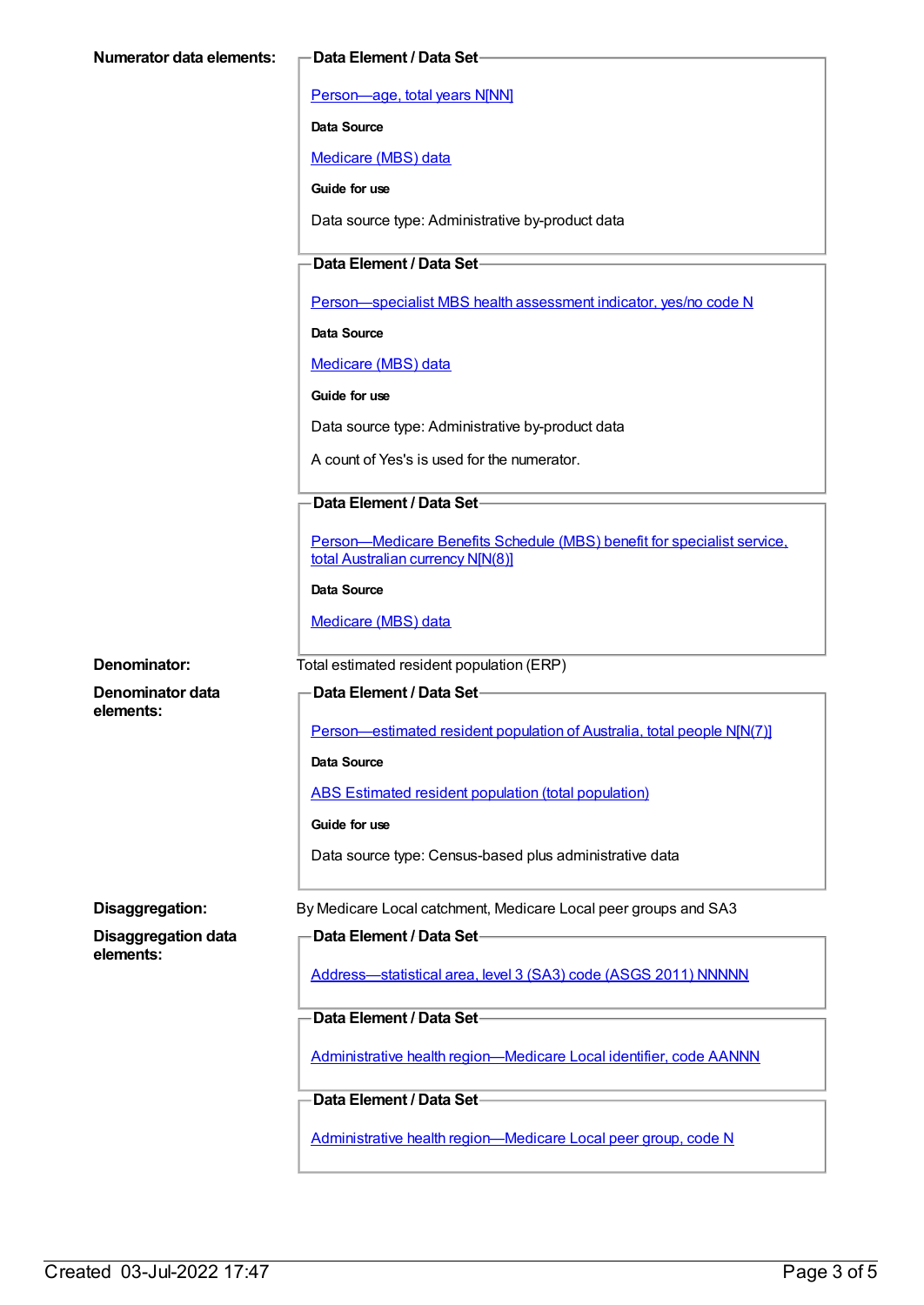[Person—age,](https://meteor.aihw.gov.au/content/303794) total years N[NN]

**Data Source**

[Medicare](https://meteor.aihw.gov.au/content/394305) (MBS) data

**Guide for use**

Data source type: Administrative by-product data

**Data Element / Data Set**

[Person—specialist](https://meteor.aihw.gov.au/content/504845) MBS health assessment indicator, yes/no code N

**Data Source**

[Medicare](https://meteor.aihw.gov.au/content/394305) (MBS) data

**Guide for use**

Data source type: Administrative by-product data

A count of Yes's is used for the numerator.

#### **Data Element / Data Set**

[Person—Medicare](https://meteor.aihw.gov.au/content/556892) Benefits Schedule (MBS) benefit for specialist service, total Australian currency N[N(8)]

#### **Data Source**

[Medicare](https://meteor.aihw.gov.au/content/394305) (MBS) data

**Denominator:** Total estimated resident population (ERP)

**Denominator data elements:**

**Data Element / Data Set**

[Person—estimated](https://meteor.aihw.gov.au/content/388656) resident population of Australia, total people N[N(7)]

**Data Source**

ABS Estimated resident population (total [population\)](https://meteor.aihw.gov.au/content/393625)

**Guide for use**

Data source type: Census-based plus administrative data

**Disaggregation:** By Medicare Local catchment, Medicare Local peer groups and SA3

**Disaggregation data elements:**

**Data Element / Data Set**

[Address—statistical](https://meteor.aihw.gov.au/content/457293) area, level 3 (SA3) code (ASGS 2011) NNNNN

**Data Element / Data Set**

Administrative health [region—Medicare](https://meteor.aihw.gov.au/content/513288) Local identifier, code AANNN

**Data Element / Data Set**

Administrative health [region—Medicare](https://meteor.aihw.gov.au/content/550733) Local peer group, code N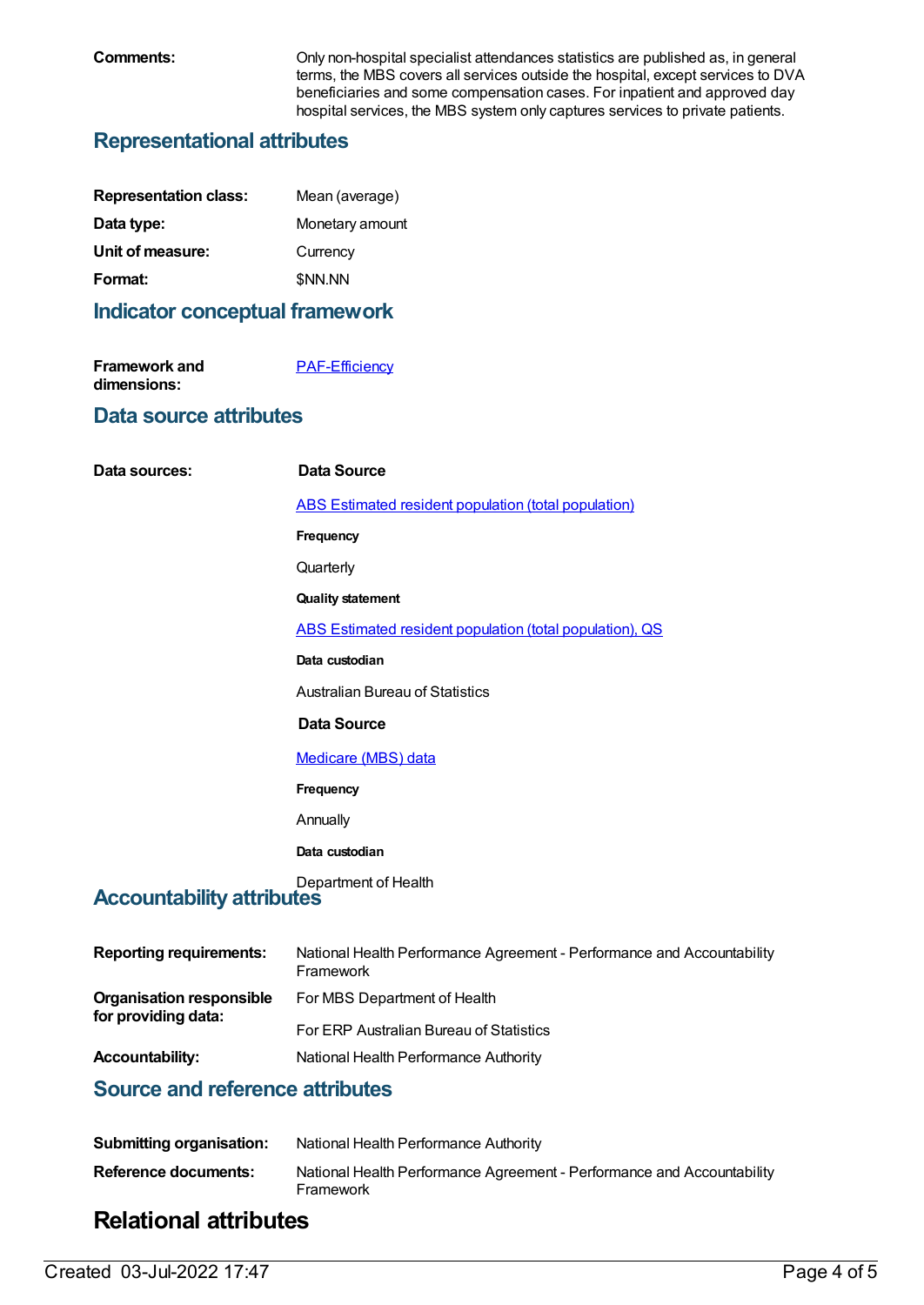**Comments:** Only non-hospital specialist attendances statistics are published as, in general terms, the MBS covers all services outside the hospital, except services to DVA beneficiaries and some compensation cases. For inpatient and approved day hospital services, the MBS system only captures services to private patients.

## **Representational attributes**

| <b>Representation class:</b> | Mean (average)  |
|------------------------------|-----------------|
| Data type:                   | Monetary amount |
| Unit of measure:             | Currency        |
| Format:                      | <b>SNN.NN</b>   |
|                              |                 |

### **Indicator conceptual framework**

| <b>Framework and</b> | <b>PAF-Efficiency</b> |
|----------------------|-----------------------|
| dimensions:          |                       |

#### **Data source attributes**

| Data sources:                    | <b>Data Source</b>                                                                  |
|----------------------------------|-------------------------------------------------------------------------------------|
|                                  | ABS Estimated resident population (total population)                                |
|                                  | Frequency                                                                           |
|                                  | Quarterly                                                                           |
|                                  | <b>Quality statement</b>                                                            |
|                                  | ABS Estimated resident population (total population), QS                            |
|                                  | Data custodian                                                                      |
|                                  | <b>Australian Bureau of Statistics</b>                                              |
|                                  | <b>Data Source</b>                                                                  |
|                                  | <b>Medicare (MBS) data</b>                                                          |
|                                  | Frequency                                                                           |
|                                  | Annually                                                                            |
|                                  | Data custodian                                                                      |
| <b>Accountability attributes</b> | Department of Health                                                                |
| <b>Reporting requirements:</b>   | National Health Performance Agreement - Performance and Accountability<br>Framework |

**for providing data:** For ERP Australian Bureau of Statistics

**Accountability:** National Health Performance Authority

## **Source and reference attributes**

| <b>Submitting organisation:</b> | National Health Performance Authority                                               |
|---------------------------------|-------------------------------------------------------------------------------------|
| Reference documents:            | National Health Performance Agreement - Performance and Accountability<br>Framework |

For MBS Department of Health

## **Relational attributes**

**Organisation responsible**